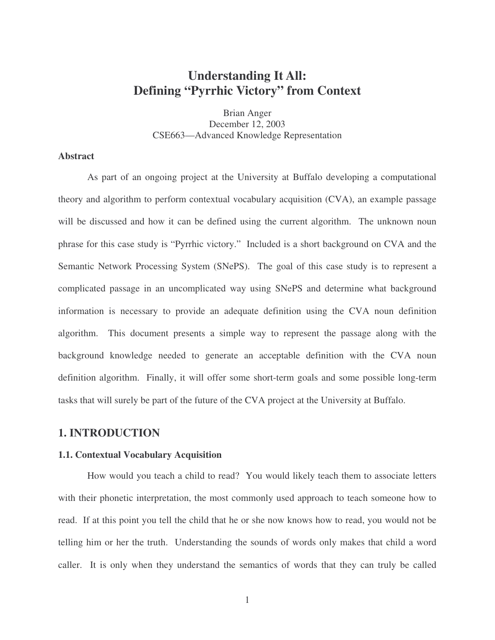# **Understanding It All: Defining "Pyrrhic Victory" from Context**

Brian Anger December 12, 2003 CSE663—Advanced Knowledge Representation

### **Abstract**

As part of an ongoing project at the University at Buffalo developing a computational theory and algorithm to perform contextual vocabulary acquisition (CVA), an example passage will be discussed and how it can be defined using the current algorithm. The unknown noun phrase for this case study is "Pyrrhic victory." Included is a short background on CVA and the Semantic Network Processing System (SNePS). The goal of this case study is to represent a complicated passage in an uncomplicated way using SNePS and determine what background information is necessary to provide an adequate definition using the CVA noun definition algorithm. This document presents a simple way to represent the passage along with the background knowledge needed to generate an acceptable definition with the CVA noun definition algorithm. Finally, it will offer some short-term goals and some possible long-term tasks that will surely be part of the future of the CVA project at the University at Buffalo.

#### **1. INTRODUCTION**

#### **1.1. Contextual Vocabulary Acquisition**

How would you teach a child to read? You would likely teach them to associate letters with their phonetic interpretation, the most commonly used approach to teach someone how to read. If at this point you tell the child that he or she now knows how to read, you would not be telling him or her the truth. Understanding the sounds of words only makes that child a word caller. It is only when they understand the semantics of words that they can truly be called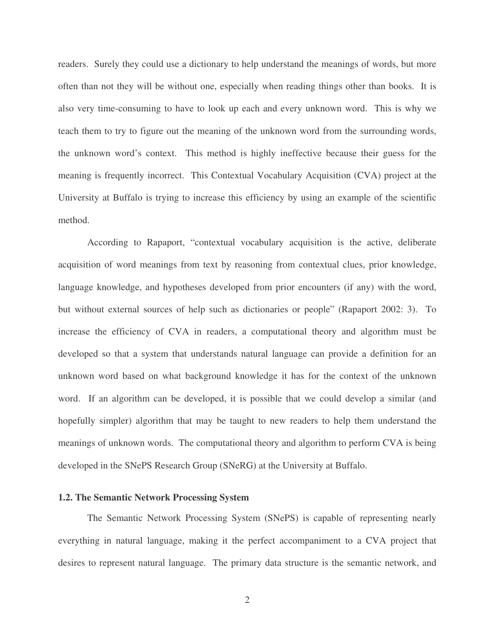readers. Surely they could use a dictionary to help understand the meanings of words, but more often than not they will be without one, especially when reading things other than books. It is also very time-consuming to have to look up each and every unknown word. This is why we teach them to try to figure out the meaning of the unknown word from the surrounding words, the unknown word's context. This method is highly ineffective because their guess for the meaning is frequently incorrect. This Contextual Vocabulary Acquisition (CVA) project at the University at Buffalo is trying to increase this efficiency by using an example of the scientific method.

According to Rapaport, "contextual vocabulary acquisition is the active, deliberate acquisition of word meanings from text by reasoning from contextual clues, prior knowledge, language knowledge, and hypotheses developed from prior encounters (if any) with the word, but without external sources of help such as dictionaries or people" (Rapaport 2002: 3). To increase the efficiency of CVA in readers, a computational theory and algorithm must be developed so that a system that understands natural language can provide a definition for an unknown word based on what background knowledge it has for the context of the unknown word. If an algorithm can be developed, it is possible that we could develop a similar (and hopefully simpler) algorithm that may be taught to new readers to help them understand the meanings of unknown words. The computational theory and algorithm to perform CVA is being developed in the SNePS Research Group (SNeRG) at the University at Buffalo.

#### **1.2. The Semantic Network Processing System**

The Semantic Network Processing System (SNePS) is capable of representing nearly everything in natural language, making it the perfect accompaniment to a CVA project that desires to represent natural language. The primary data structure is the semantic network, and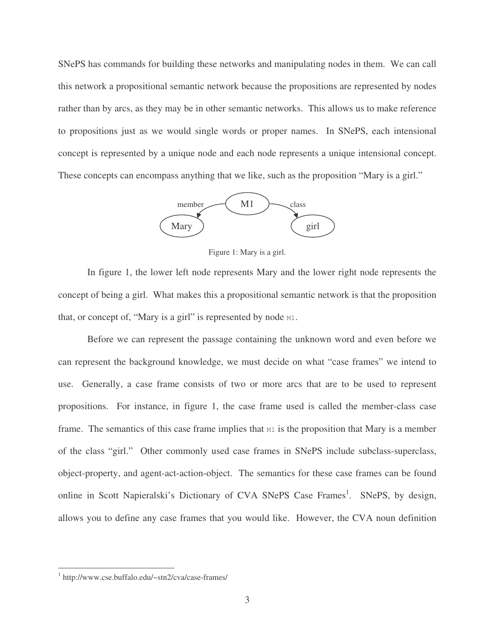SNePS has commands for building these networks and manipulating nodes in them. We can call this network a propositional semantic network because the propositions are represented by nodes rather than by arcs, as they may be in other semantic networks. This allows us to make reference to propositions just as we would single words or proper names. In SNePS, each intensional concept is represented by a unique node and each node represents a unique intensional concept. These concepts can encompass anything that we like, such as the proposition "Mary is a girl."



Figure 1: Mary is a girl.

In figure 1, the lower left node represents Mary and the lower right node represents the concept of being a girl. What makes this a propositional semantic network is that the proposition that, or concept of, "Mary is a girl" is represented by node  $M1$ .

Before we can represent the passage containing the unknown word and even before we can represent the background knowledge, we must decide on what "case frames" we intend to use. Generally, a case frame consists of two or more arcs that are to be used to represent propositions. For instance, in figure 1, the case frame used is called the member-class case frame. The semantics of this case frame implies that  $M1$  is the proposition that Mary is a member of the class "girl." Other commonly used case frames in SNePS include subclass-superclass, object-property, and agent-act-action-object. The semantics for these case frames can be found online in Scott Napieralski's Dictionary of CVA SNePS Case Frames<sup>1</sup>. SNePS, by design, allows you to define any case frames that you would like. However, the CVA noun definition

 $\overline{a}$ 

<sup>1</sup> http://www.cse.buffalo.edu/~stn2/cva/case-frames/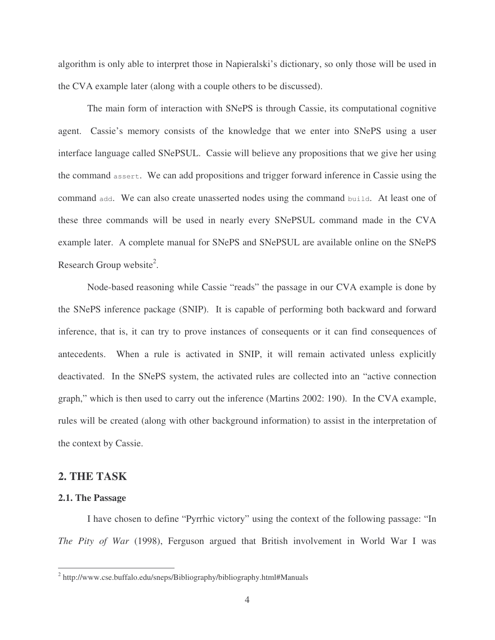algorithm is only able to interpret those in Napieralski's dictionary, so only those will be used in the CVA example later (along with a couple others to be discussed).

The main form of interaction with SNePS is through Cassie, its computational cognitive agent. Cassie's memory consists of the knowledge that we enter into SNePS using a user interface language called SNePSUL. Cassie will believe any propositions that we give her using the command assert. We can add propositions and trigger forward inference in Cassie using the command add. We can also create unasserted nodes using the command build. At least one of these three commands will be used in nearly every SNePSUL command made in the CVA example later. A complete manual for SNePS and SNePSUL are available online on the SNePS Research Group website<sup>2</sup>.

Node-based reasoning while Cassie "reads" the passage in our CVA example is done by the SNePS inference package (SNIP). It is capable of performing both backward and forward inference, that is, it can try to prove instances of consequents or it can find consequences of antecedents. When a rule is activated in SNIP, it will remain activated unless explicitly deactivated. In the SNePS system, the activated rules are collected into an "active connection graph," which is then used to carry out the inference (Martins 2002: 190). In the CVA example, rules will be created (along with other background information) to assist in the interpretation of the context by Cassie.

### **2. THE TASK**

#### **2.1. The Passage**

 $\overline{a}$ 

I have chosen to define "Pyrrhic victory" using the context of the following passage: "In *The Pity of War* (1998), Ferguson argued that British involvement in World War I was

<sup>&</sup>lt;sup>2</sup> http://www.cse.buffalo.edu/sneps/Bibliography/bibliography.html#Manuals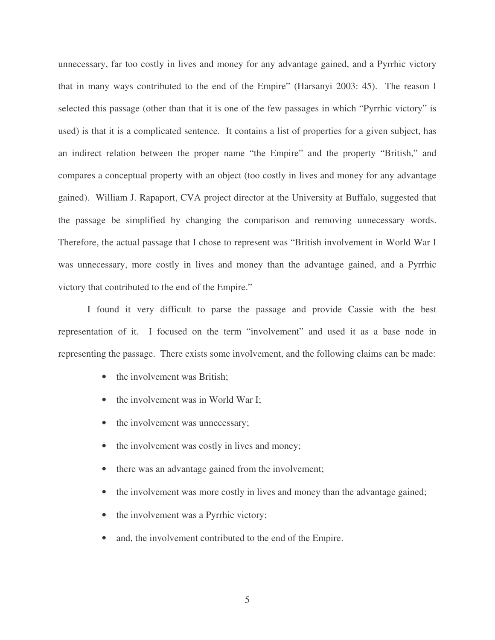unnecessary, far too costly in lives and money for any advantage gained, and a Pyrrhic victory that in many ways contributed to the end of the Empire" (Harsanyi 2003: 45). The reason I selected this passage (other than that it is one of the few passages in which "Pyrrhic victory" is used) is that it is a complicated sentence. It contains a list of properties for a given subject, has an indirect relation between the proper name "the Empire" and the property "British," and compares a conceptual property with an object (too costly in lives and money for any advantage gained). William J. Rapaport, CVA project director at the University at Buffalo, suggested that the passage be simplified by changing the comparison and removing unnecessary words. Therefore, the actual passage that I chose to represent was "British involvement in World War I was unnecessary, more costly in lives and money than the advantage gained, and a Pyrrhic victory that contributed to the end of the Empire."

I found it very difficult to parse the passage and provide Cassie with the best representation of it. I focused on the term "involvement" and used it as a base node in representing the passage. There exists some involvement, and the following claims can be made:

- the involvement was British;
- the involvement was in World War I;
- the involvement was unnecessary;
- the involvement was costly in lives and money;
- there was an advantage gained from the involvement;
- the involvement was more costly in lives and money than the advantage gained;
- the involvement was a Pyrrhic victory;
- and, the involvement contributed to the end of the Empire.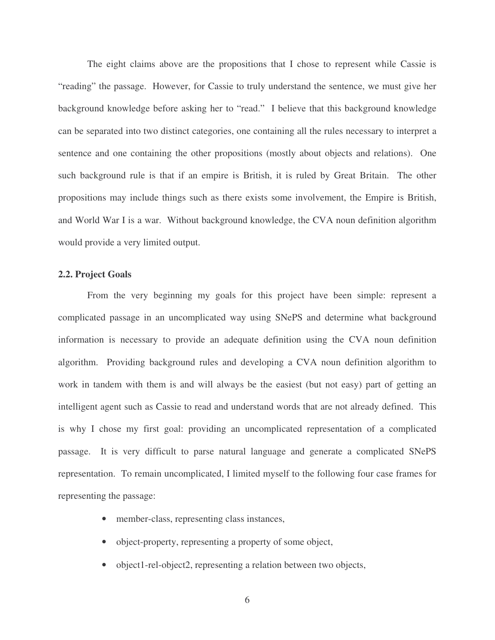The eight claims above are the propositions that I chose to represent while Cassie is "reading" the passage. However, for Cassie to truly understand the sentence, we must give her background knowledge before asking her to "read." I believe that this background knowledge can be separated into two distinct categories, one containing all the rules necessary to interpret a sentence and one containing the other propositions (mostly about objects and relations). One such background rule is that if an empire is British, it is ruled by Great Britain. The other propositions may include things such as there exists some involvement, the Empire is British, and World War I is a war. Without background knowledge, the CVA noun definition algorithm would provide a very limited output.

#### **2.2. Project Goals**

From the very beginning my goals for this project have been simple: represent a complicated passage in an uncomplicated way using SNePS and determine what background information is necessary to provide an adequate definition using the CVA noun definition algorithm. Providing background rules and developing a CVA noun definition algorithm to work in tandem with them is and will always be the easiest (but not easy) part of getting an intelligent agent such as Cassie to read and understand words that are not already defined. This is why I chose my first goal: providing an uncomplicated representation of a complicated passage. It is very difficult to parse natural language and generate a complicated SNePS representation. To remain uncomplicated, I limited myself to the following four case frames for representing the passage:

- member-class, representing class instances,
- object-property, representing a property of some object,
- object1-rel-object2, representing a relation between two objects,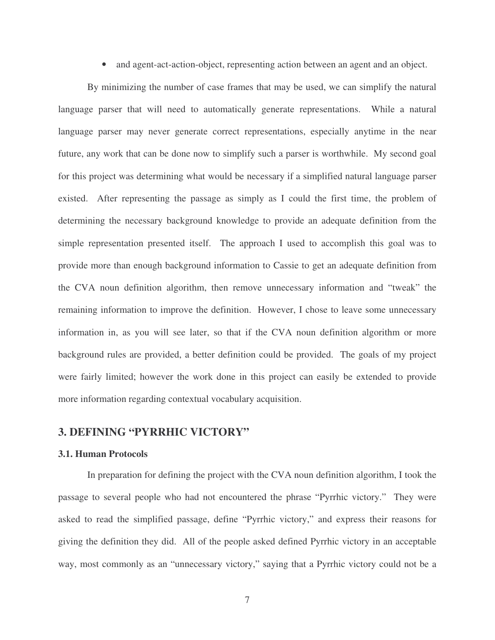• and agent-act-action-object, representing action between an agent and an object.

By minimizing the number of case frames that may be used, we can simplify the natural language parser that will need to automatically generate representations. While a natural language parser may never generate correct representations, especially anytime in the near future, any work that can be done now to simplify such a parser is worthwhile. My second goal for this project was determining what would be necessary if a simplified natural language parser existed. After representing the passage as simply as I could the first time, the problem of determining the necessary background knowledge to provide an adequate definition from the simple representation presented itself. The approach I used to accomplish this goal was to provide more than enough background information to Cassie to get an adequate definition from the CVA noun definition algorithm, then remove unnecessary information and "tweak" the remaining information to improve the definition. However, I chose to leave some unnecessary information in, as you will see later, so that if the CVA noun definition algorithm or more background rules are provided, a better definition could be provided. The goals of my project were fairly limited; however the work done in this project can easily be extended to provide more information regarding contextual vocabulary acquisition.

## **3. DEFINING "PYRRHIC VICTORY"**

#### **3.1. Human Protocols**

In preparation for defining the project with the CVA noun definition algorithm, I took the passage to several people who had not encountered the phrase "Pyrrhic victory." They were asked to read the simplified passage, define "Pyrrhic victory," and express their reasons for giving the definition they did. All of the people asked defined Pyrrhic victory in an acceptable way, most commonly as an "unnecessary victory," saying that a Pyrrhic victory could not be a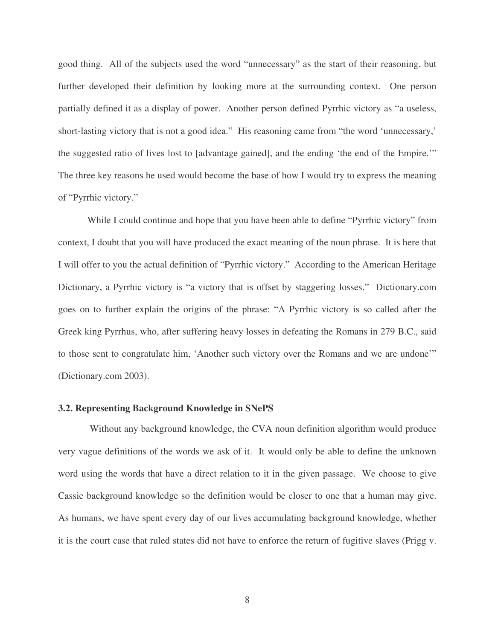good thing. All of the subjects used the word "unnecessary" as the start of their reasoning, but further developed their definition by looking more at the surrounding context. One person partially defined it as a display of power. Another person defined Pyrrhic victory as "a useless, short-lasting victory that is not a good idea." His reasoning came from "the word 'unnecessary,' the suggested ratio of lives lost to [advantage gained], and the ending 'the end of the Empire.'" The three key reasons he used would become the base of how I would try to express the meaning of "Pyrrhic victory."

While I could continue and hope that you have been able to define "Pyrrhic victory" from context, I doubt that you will have produced the exact meaning of the noun phrase. It is here that I will offer to you the actual definition of "Pyrrhic victory." According to the American Heritage Dictionary, a Pyrrhic victory is "a victory that is offset by staggering losses." Dictionary.com goes on to further explain the origins of the phrase: "A Pyrrhic victory is so called after the Greek king Pyrrhus, who, after suffering heavy losses in defeating the Romans in 279 B.C., said to those sent to congratulate him, 'Another such victory over the Romans and we are undone'" (Dictionary.com 2003).

#### **3.2. Representing Background Knowledge in SNePS**

 Without any background knowledge, the CVA noun definition algorithm would produce very vague definitions of the words we ask of it. It would only be able to define the unknown word using the words that have a direct relation to it in the given passage. We choose to give Cassie background knowledge so the definition would be closer to one that a human may give. As humans, we have spent every day of our lives accumulating background knowledge, whether it is the court case that ruled states did not have to enforce the return of fugitive slaves (Prigg v.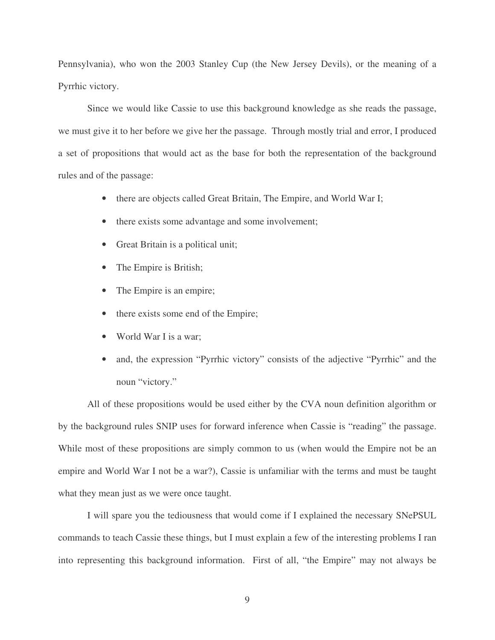Pennsylvania), who won the 2003 Stanley Cup (the New Jersey Devils), or the meaning of a Pyrrhic victory.

Since we would like Cassie to use this background knowledge as she reads the passage, we must give it to her before we give her the passage. Through mostly trial and error, I produced a set of propositions that would act as the base for both the representation of the background rules and of the passage:

- there are objects called Great Britain, The Empire, and World War I;
- there exists some advantage and some involvement;
- Great Britain is a political unit;
- The Empire is British;
- The Empire is an empire;
- there exists some end of the Empire;
- World War I is a war;
- and, the expression "Pyrrhic victory" consists of the adjective "Pyrrhic" and the noun "victory."

All of these propositions would be used either by the CVA noun definition algorithm or by the background rules SNIP uses for forward inference when Cassie is "reading" the passage. While most of these propositions are simply common to us (when would the Empire not be an empire and World War I not be a war?), Cassie is unfamiliar with the terms and must be taught what they mean just as we were once taught.

I will spare you the tediousness that would come if I explained the necessary SNePSUL commands to teach Cassie these things, but I must explain a few of the interesting problems I ran into representing this background information. First of all, "the Empire" may not always be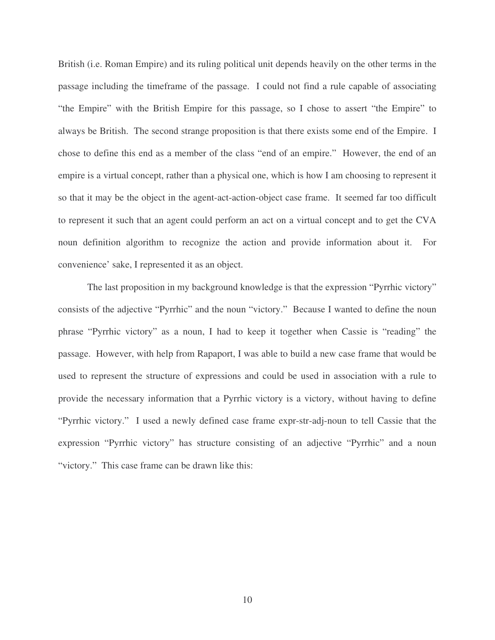British (i.e. Roman Empire) and its ruling political unit depends heavily on the other terms in the passage including the timeframe of the passage. I could not find a rule capable of associating "the Empire" with the British Empire for this passage, so I chose to assert "the Empire" to always be British. The second strange proposition is that there exists some end of the Empire. I chose to define this end as a member of the class "end of an empire." However, the end of an empire is a virtual concept, rather than a physical one, which is how I am choosing to represent it so that it may be the object in the agent-act-action-object case frame. It seemed far too difficult to represent it such that an agent could perform an act on a virtual concept and to get the CVA noun definition algorithm to recognize the action and provide information about it. For convenience' sake, I represented it as an object.

The last proposition in my background knowledge is that the expression "Pyrrhic victory" consists of the adjective "Pyrrhic" and the noun "victory." Because I wanted to define the noun phrase "Pyrrhic victory" as a noun, I had to keep it together when Cassie is "reading" the passage. However, with help from Rapaport, I was able to build a new case frame that would be used to represent the structure of expressions and could be used in association with a rule to provide the necessary information that a Pyrrhic victory is a victory, without having to define "Pyrrhic victory." I used a newly defined case frame expr-str-adj-noun to tell Cassie that the expression "Pyrrhic victory" has structure consisting of an adjective "Pyrrhic" and a noun "victory." This case frame can be drawn like this: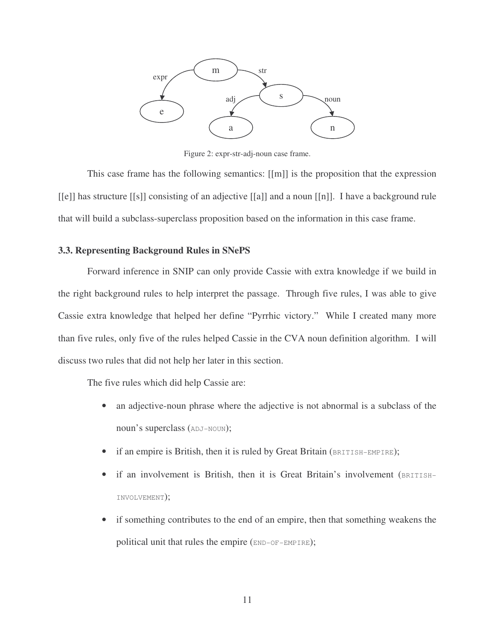

Figure 2: expr-str-adj-noun case frame.

This case frame has the following semantics: [[m]] is the proposition that the expression [[e]] has structure [[s]] consisting of an adjective [[a]] and a noun [[n]]. I have a background rule that will build a subclass-superclass proposition based on the information in this case frame.

### **3.3. Representing Background Rules in SNePS**

Forward inference in SNIP can only provide Cassie with extra knowledge if we build in the right background rules to help interpret the passage. Through five rules, I was able to give Cassie extra knowledge that helped her define "Pyrrhic victory." While I created many more than five rules, only five of the rules helped Cassie in the CVA noun definition algorithm. I will discuss two rules that did not help her later in this section.

The five rules which did help Cassie are:

- an adjective-noun phrase where the adjective is not abnormal is a subclass of the noun's superclass (ADJ-NOUN);
- if an empire is British, then it is ruled by Great Britain (BRITISH-EMPIRE);
- if an involvement is British, then it is Great Britain's involvement (BRITISH-INVOLVEMENT);
- if something contributes to the end of an empire, then that something weakens the political unit that rules the empire (END-OF-EMPIRE);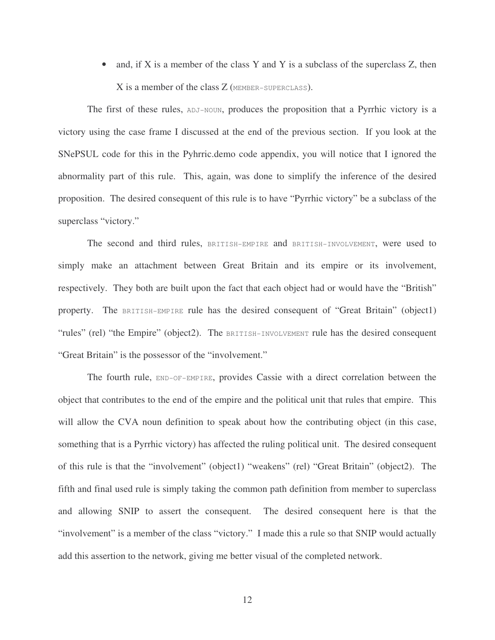• and, if  $X$  is a member of the class  $Y$  and  $Y$  is a subclass of the superclass  $Z$ , then X is a member of the class Z (MEMBER-SUPERCLASS).

The first of these rules, ADJ-NOUN, produces the proposition that a Pyrrhic victory is a victory using the case frame I discussed at the end of the previous section. If you look at the SNePSUL code for this in the Pyhrric.demo code appendix, you will notice that I ignored the abnormality part of this rule. This, again, was done to simplify the inference of the desired proposition. The desired consequent of this rule is to have "Pyrrhic victory" be a subclass of the superclass "victory."

The second and third rules, BRITISH-EMPIRE and BRITISH-INVOLVEMENT, were used to simply make an attachment between Great Britain and its empire or its involvement, respectively. They both are built upon the fact that each object had or would have the "British" property. The BRITISH-EMPIRE rule has the desired consequent of "Great Britain" (object1) "rules" (rel) "the Empire" (object2). The BRITISH-INVOLVEMENT rule has the desired consequent "Great Britain" is the possessor of the "involvement."

The fourth rule, END-OF-EMPIRE, provides Cassie with a direct correlation between the object that contributes to the end of the empire and the political unit that rules that empire. This will allow the CVA noun definition to speak about how the contributing object (in this case, something that is a Pyrrhic victory) has affected the ruling political unit. The desired consequent of this rule is that the "involvement" (object1) "weakens" (rel) "Great Britain" (object2). The fifth and final used rule is simply taking the common path definition from member to superclass and allowing SNIP to assert the consequent. The desired consequent here is that the "involvement" is a member of the class "victory." I made this a rule so that SNIP would actually add this assertion to the network, giving me better visual of the completed network.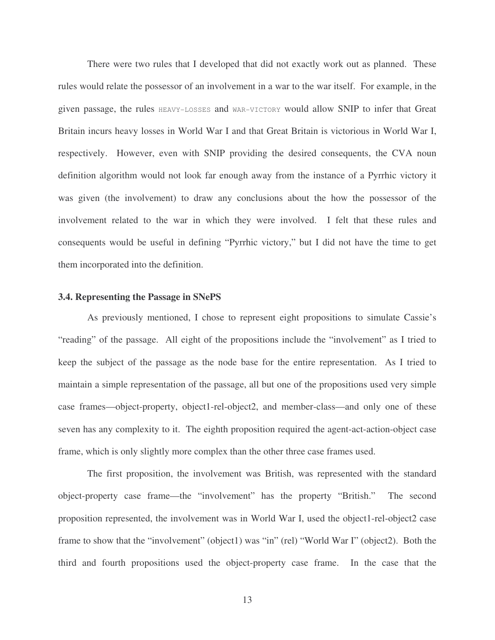There were two rules that I developed that did not exactly work out as planned. These rules would relate the possessor of an involvement in a war to the war itself. For example, in the given passage, the rules HEAVY-LOSSES and WAR-VICTORY would allow SNIP to infer that Great Britain incurs heavy losses in World War I and that Great Britain is victorious in World War I, respectively. However, even with SNIP providing the desired consequents, the CVA noun definition algorithm would not look far enough away from the instance of a Pyrrhic victory it was given (the involvement) to draw any conclusions about the how the possessor of the involvement related to the war in which they were involved. I felt that these rules and consequents would be useful in defining "Pyrrhic victory," but I did not have the time to get them incorporated into the definition.

#### **3.4. Representing the Passage in SNePS**

As previously mentioned, I chose to represent eight propositions to simulate Cassie's "reading" of the passage. All eight of the propositions include the "involvement" as I tried to keep the subject of the passage as the node base for the entire representation. As I tried to maintain a simple representation of the passage, all but one of the propositions used very simple case frames—object-property, object1-rel-object2, and member-class—and only one of these seven has any complexity to it. The eighth proposition required the agent-act-action-object case frame, which is only slightly more complex than the other three case frames used.

The first proposition, the involvement was British, was represented with the standard object-property case frame—the "involvement" has the property "British." The second proposition represented, the involvement was in World War I, used the object1-rel-object2 case frame to show that the "involvement" (object1) was "in" (rel) "World War I" (object2). Both the third and fourth propositions used the object-property case frame. In the case that the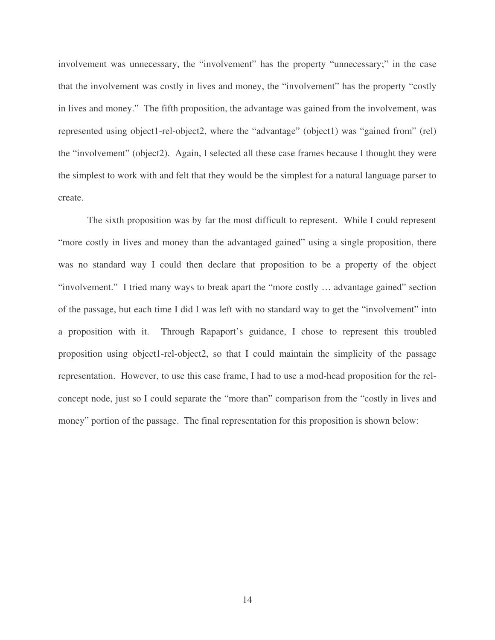involvement was unnecessary, the "involvement" has the property "unnecessary;" in the case that the involvement was costly in lives and money, the "involvement" has the property "costly in lives and money." The fifth proposition, the advantage was gained from the involvement, was represented using object1-rel-object2, where the "advantage" (object1) was "gained from" (rel) the "involvement" (object2). Again, I selected all these case frames because I thought they were the simplest to work with and felt that they would be the simplest for a natural language parser to create.

The sixth proposition was by far the most difficult to represent. While I could represent "more costly in lives and money than the advantaged gained" using a single proposition, there was no standard way I could then declare that proposition to be a property of the object "involvement." I tried many ways to break apart the "more costly … advantage gained" section of the passage, but each time I did I was left with no standard way to get the "involvement" into a proposition with it. Through Rapaport's guidance, I chose to represent this troubled proposition using object1-rel-object2, so that I could maintain the simplicity of the passage representation. However, to use this case frame, I had to use a mod-head proposition for the relconcept node, just so I could separate the "more than" comparison from the "costly in lives and money" portion of the passage. The final representation for this proposition is shown below: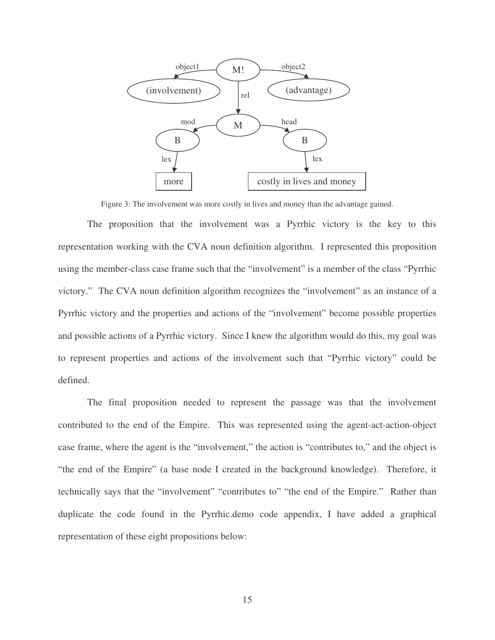

Figure 3: The involvement was more costly in lives and money than the advantage gained.

The proposition that the involvement was a Pyrrhic victory is the key to this representation working with the CVA noun definition algorithm. I represented this proposition using the member-class case frame such that the "involvement" is a member of the class "Pyrrhic victory." The CVA noun definition algorithm recognizes the "involvement" as an instance of a Pyrrhic victory and the properties and actions of the "involvement" become possible properties and possible actions of a Pyrrhic victory. Since I knew the algorithm would do this, my goal was to represent properties and actions of the involvement such that "Pyrrhic victory" could be defined.

The final proposition needed to represent the passage was that the involvement contributed to the end of the Empire. This was represented using the agent-act-action-object case frame, where the agent is the "involvement," the action is "contributes to," and the object is "the end of the Empire" (a base node I created in the background knowledge). Therefore, it technically says that the "involvement" "contributes to" "the end of the Empire." Rather than duplicate the code found in the Pyrrhic.demo code appendix, I have added a graphical representation of these eight propositions below: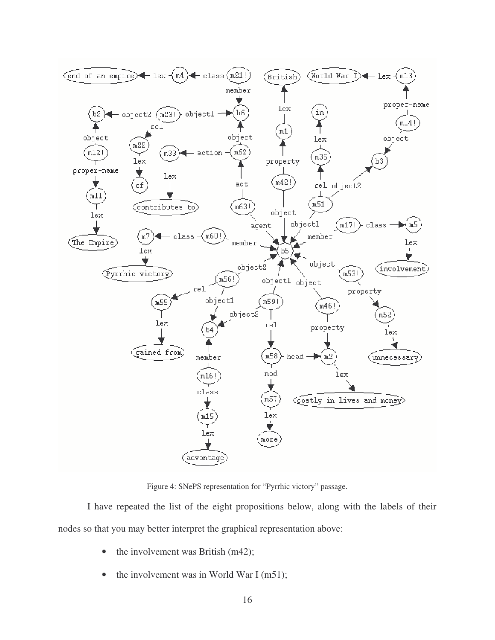

Figure 4: SNePS representation for "Pyrrhic victory" passage.

I have repeated the list of the eight propositions below, along with the labels of their nodes so that you may better interpret the graphical representation above:

- the involvement was British (m42);
- the involvement was in World War I (m51);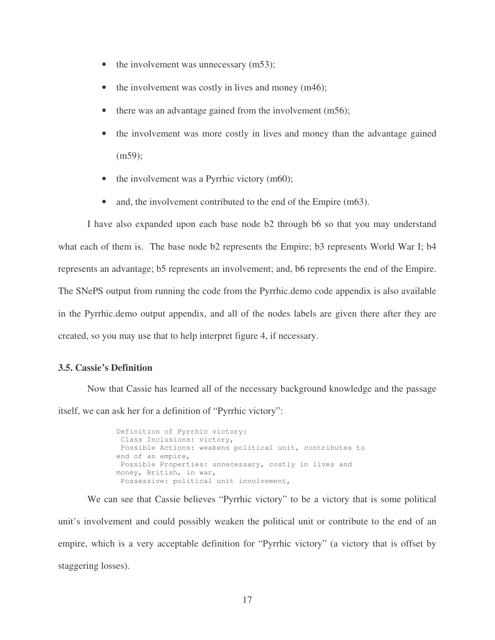- the involvement was unnecessary (m53);
- the involvement was costly in lives and money  $(m46)$ ;
- there was an advantage gained from the involvement (m56);
- the involvement was more costly in lives and money than the advantage gained (m59);
- the involvement was a Pyrrhic victory (m60);
- and, the involvement contributed to the end of the Empire (m63).

I have also expanded upon each base node b2 through b6 so that you may understand what each of them is. The base node b2 represents the Empire; b3 represents World War I; b4 represents an advantage; b5 represents an involvement; and, b6 represents the end of the Empire. The SNePS output from running the code from the Pyrrhic.demo code appendix is also available in the Pyrrhic.demo output appendix, and all of the nodes labels are given there after they are created, so you may use that to help interpret figure 4, if necessary.

#### **3.5. Cassie's Definition**

Now that Cassie has learned all of the necessary background knowledge and the passage itself, we can ask her for a definition of "Pyrrhic victory":

> Definition of Pyrrhic victory: Class Inclusions: victory, Possible Actions: weakens political unit, contributes to end of an empire, Possible Properties: unnecessary, costly in lives and money, British, in war, Possessive: political unit involvement,

We can see that Cassie believes "Pyrrhic victory" to be a victory that is some political unit's involvement and could possibly weaken the political unit or contribute to the end of an empire, which is a very acceptable definition for "Pyrrhic victory" (a victory that is offset by staggering losses).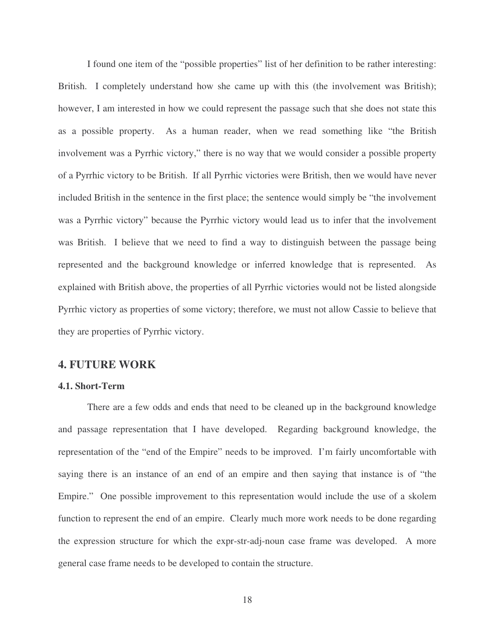I found one item of the "possible properties" list of her definition to be rather interesting: British. I completely understand how she came up with this (the involvement was British); however, I am interested in how we could represent the passage such that she does not state this as a possible property. As a human reader, when we read something like "the British involvement was a Pyrrhic victory," there is no way that we would consider a possible property of a Pyrrhic victory to be British. If all Pyrrhic victories were British, then we would have never included British in the sentence in the first place; the sentence would simply be "the involvement was a Pyrrhic victory" because the Pyrrhic victory would lead us to infer that the involvement was British. I believe that we need to find a way to distinguish between the passage being represented and the background knowledge or inferred knowledge that is represented. As explained with British above, the properties of all Pyrrhic victories would not be listed alongside Pyrrhic victory as properties of some victory; therefore, we must not allow Cassie to believe that they are properties of Pyrrhic victory.

### **4. FUTURE WORK**

#### **4.1. Short-Term**

There are a few odds and ends that need to be cleaned up in the background knowledge and passage representation that I have developed. Regarding background knowledge, the representation of the "end of the Empire" needs to be improved. I'm fairly uncomfortable with saying there is an instance of an end of an empire and then saying that instance is of "the Empire." One possible improvement to this representation would include the use of a skolem function to represent the end of an empire. Clearly much more work needs to be done regarding the expression structure for which the expr-str-adj-noun case frame was developed. A more general case frame needs to be developed to contain the structure.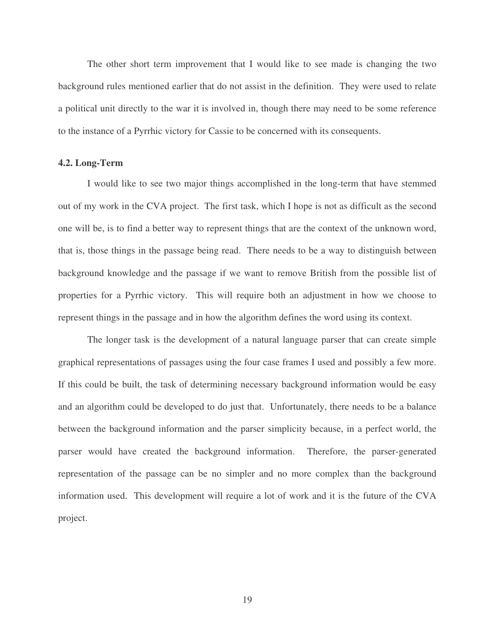The other short term improvement that I would like to see made is changing the two background rules mentioned earlier that do not assist in the definition. They were used to relate a political unit directly to the war it is involved in, though there may need to be some reference to the instance of a Pyrrhic victory for Cassie to be concerned with its consequents.

#### **4.2. Long-Term**

I would like to see two major things accomplished in the long-term that have stemmed out of my work in the CVA project. The first task, which I hope is not as difficult as the second one will be, is to find a better way to represent things that are the context of the unknown word, that is, those things in the passage being read. There needs to be a way to distinguish between background knowledge and the passage if we want to remove British from the possible list of properties for a Pyrrhic victory. This will require both an adjustment in how we choose to represent things in the passage and in how the algorithm defines the word using its context.

The longer task is the development of a natural language parser that can create simple graphical representations of passages using the four case frames I used and possibly a few more. If this could be built, the task of determining necessary background information would be easy and an algorithm could be developed to do just that. Unfortunately, there needs to be a balance between the background information and the parser simplicity because, in a perfect world, the parser would have created the background information. Therefore, the parser-generated representation of the passage can be no simpler and no more complex than the background information used. This development will require a lot of work and it is the future of the CVA project.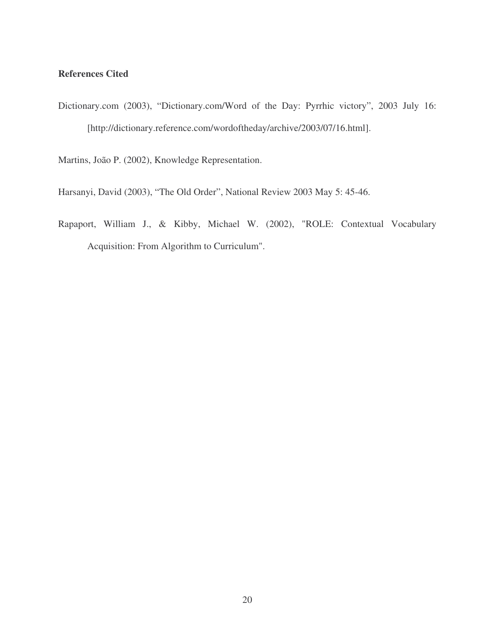### **References Cited**

Dictionary.com (2003), "Dictionary.com/Word of the Day: Pyrrhic victory", 2003 July 16: [http://dictionary.reference.com/wordoftheday/archive/2003/07/16.html].

Martins, João P. (2002), Knowledge Representation.

Harsanyi, David (2003), "The Old Order", National Review 2003 May 5: 45-46.

Rapaport, William J., & Kibby, Michael W. (2002), "ROLE: Contextual Vocabulary Acquisition: From Algorithm to Curriculum".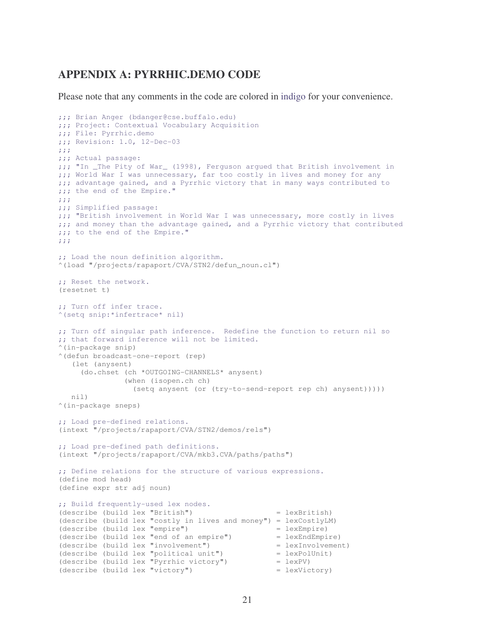# **APPENDIX A: PYRRHIC.DEMO CODE**

Please note that any comments in the code are colored in indigo for your convenience.

```
;;; Brian Anger (bdanger@cse.buffalo.edu) 
;;; Project: Contextual Vocabulary Acquisition 
;;; File: Pyrrhic.demo 
;;; Revision: 1.0, 12-Dec-03 
;;; 
;;; Actual passage: 
;;; "In _The Pity of War_ (1998), Ferguson argued that British involvement in 
;;; World War I was unnecessary, far too costly in lives and money for any 
;;; advantage gained, and a Pyrrhic victory that in many ways contributed to
;;; the end of the Empire."
;;; 
;;; Simplified passage: 
;;; "British involvement in World War I was unnecessary, more costly in lives 
;;; and money than the advantage gained, and a Pyrrhic victory that contributed 
;;; to the end of the Empire." 
;;;;; Load the noun definition algorithm. 
^(load "/projects/rapaport/CVA/STN2/defun_noun.cl")
;; Reset the network. 
(resetnet t) 
;; Turn off infer trace. 
^(setq snip:*infertrace* nil) 
;; Turn off singular path inference. Redefine the function to return nil so 
;; that forward inference will not be limited. 
^(in-package snip) 
^(defun broadcast-one-report (rep) 
    (let (anysent) 
      (do.chset (ch *OUTGOING-CHANNELS* anysent) 
                (when (isopen.ch ch) 
                  (setq anysent (or (try-to-send-report rep ch) anysent))))) 
    nil) 
^(in-package sneps) 
;; Load pre-defined relations. 
(intext "/projects/rapaport/CVA/STN2/demos/rels") 
;; Load pre-defined path definitions. 
(intext "/projects/rapaport/CVA/mkb3.CVA/paths/paths") 
;; Define relations for the structure of various expressions. 
(define mod head) 
(define expr str adj noun) 
;; Build frequently-used lex nodes. 
(describe (build lex "British") = lexBritish) 
(describe (build lex "costly in lives and money") = lexCostlyLM) 
(describe (build lex "empire") = lexEmpire)
(describe (build lex "end of an empire") = lexEnclEmpire (describe (build lex "involvement") = lexInvolvement(\text{describe } (\text{build } \text{lex } "involvement"))(describe (build lex "political unit") = lexPolUnit) 
(describe (build lex "Pyrrhic victory") = lexPV)(describe (build lex "victory") = lexVictory)
```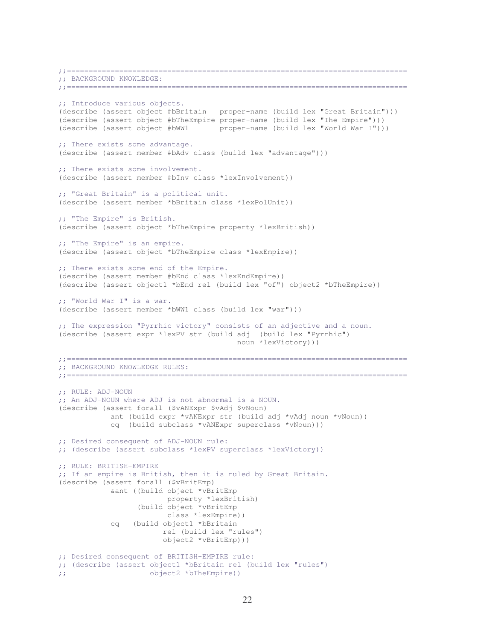;;============================================================================== ;; BACKGROUND KNOWLEDGE: ;;============================================================================== ;; Introduce various objects. (describe (assert object #bBritain proper-name (build lex "Great Britain"))) (describe (assert object #bTheEmpire proper-name (build lex "The Empire"))) (describe (assert object #bWW1 proper-name (build lex "World War I"))) ;; There exists some advantage. (describe (assert member #bAdv class (build lex "advantage"))) ;; There exists some involvement. (describe (assert member #bInv class \*lexInvolvement)) ;; "Great Britain" is a political unit. (describe (assert member \*bBritain class \*lexPolUnit)) ;; "The Empire" is British. (describe (assert object \*bTheEmpire property \*lexBritish)) ;; "The Empire" is an empire. (describe (assert object \*bTheEmpire class \*lexEmpire)) ;; There exists some end of the Empire. (describe (assert member #bEnd class \*lexEndEmpire)) (describe (assert object1 \*bEnd rel (build lex "of") object2 \*bTheEmpire)) ;; "World War I" is a war. (describe (assert member \*bWW1 class (build lex "war"))) ;; The expression "Pyrrhic victory" consists of an adjective and a noun. (describe (assert expr \*lexPV str (build adj (build lex "Pyrrhic") noun \*lexVictory))) ;;============================================================================== ;; BACKGROUND KNOWLEDGE RULES: ;;============================================================================== ;; RULE: ADJ-NOUN ;; An ADJ-NOUN where ADJ is not abnormal is a NOUN. (describe (assert forall (\$vANExpr \$vAdj \$vNoun) ant (build expr \*vANExpr str (build adj \*vAdj noun \*vNoun)) cq (build subclass \*vANExpr superclass \*vNoun))) ;; Desired consequent of ADJ-NOUN rule: ;; (describe (assert subclass \*lexPV superclass \*lexVictory)) ;; RULE: BRITISH-EMPIRE ;; If an empire is British, then it is ruled by Great Britain. (describe (assert forall (\$vBritEmp) &ant ((build object \*vBritEmp property \*lexBritish) (build object \*vBritEmp class \*lexEmpire)) cq (build object1 \*bBritain rel (build lex "rules") object2 \*vBritEmp))) ;; Desired consequent of BRITISH-EMPIRE rule: ;; (describe (assert object1 \*bBritain rel (build lex "rules") ;; object2 \*bTheEmpire))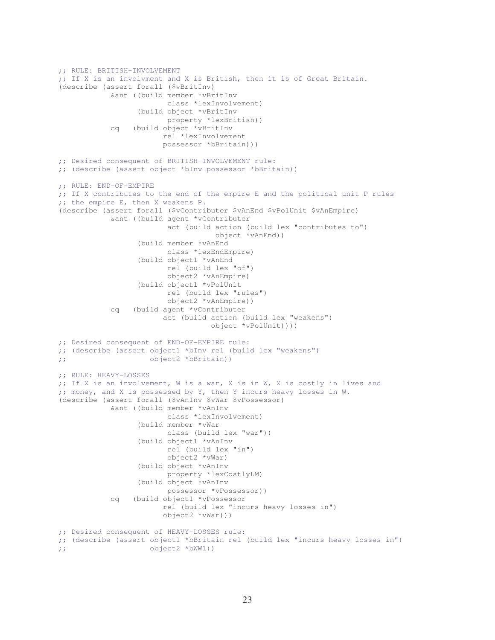```
;; RULE: BRITISH-INVOLVEMENT 
;; If X is an involvment and X is British, then it is of Great Britain. 
(describe (assert forall ($vBritInv) 
             &ant ((build member *vBritInv 
                          class *lexInvolvement) 
                    (build object *vBritInv 
                          property *lexBritish)) 
             cq (build object *vBritInv 
                         rel *lexInvolvement 
                         possessor *bBritain))) 
;; Desired consequent of BRITISH-INVOLVEMENT rule: 
;; (describe (assert object *bInv possessor *bBritain)) 
;; RULE: END-OF-EMPIRE 
;; If X contributes to the end of the empire E and the political unit P rules 
;; the empire E, then X weakens P. 
(describe (assert forall ($vContributer $vAnEnd $vPolUnit $vAnEmpire) 
             &ant ((build agent *vContributer 
                          act (build action (build lex "contributes to") 
                                      object *vAnEnd)) 
                    (build member *vAnEnd 
                           class *lexEndEmpire) 
                    (build object1 *vAnEnd 
                          rel (build lex "of") 
                           object2 *vAnEmpire) 
                    (build object1 *vPolUnit 
                          rel (build lex "rules") 
                          object2 *vAnEmpire)) 
             cq (build agent *vContributer 
                         act (build action (build lex "weakens") 
                                     object *vPolUnit)))) 
;; Desired consequent of END-OF-EMPIRE rule: 
;; (describe (assert object1 *bInv rel (build lex "weakens") 
;; object2 *bBritain)) 
;; RULE: HEAVY-LOSSES 
;; If X is an involvement, W is a war, X is in W, X is costly in lives and 
;; money, and X is possessed by Y, then Y incurs heavy losses in W. 
(describe (assert forall ($vAnInv $vWar $vPossessor) 
             &ant ((build member *vAnInv 
                          class *lexInvolvement) 
                    (build member *vWar 
                          class (build lex "war")) 
                    (build object1 *vAnInv 
                          rel (build lex "in") 
                          object2 *vWar) 
                    (build object *vAnInv 
                          property *lexCostlyLM) 
                    (build object *vAnInv 
                          possessor *vPossessor)) 
             cq (build object1 *vPossessor 
                          rel (build lex "incurs heavy losses in") 
                         object2 *vWar))) 
;; Desired consequent of HEAVY-LOSSES rule: 
;; (describe (assert object1 *bBritain rel (build lex "incurs heavy losses in") 
;; object2 *bWW1))
```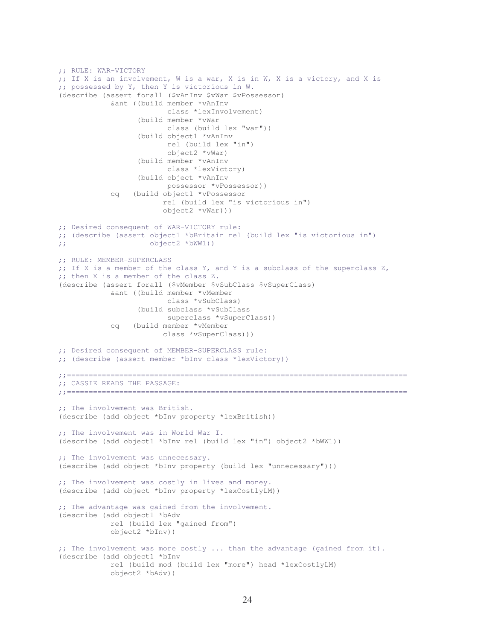```
;; RULE: WAR-VICTORY 
;; If X is an involvement, W is a war, X is in W, X is a victory, and X is 
;; possessed by Y, then Y is victorious in W. 
(describe (assert forall ($vAnInv $vWar $vPossessor) 
             &ant ((build member *vAnInv 
                          class *lexInvolvement) 
                   (build member *vWar 
                          class (build lex "war")) 
                   (build object1 *vAnInv 
                          rel (build lex "in") 
                           object2 *vWar) 
                   (build member *vAnInv 
                          class *lexVictory) 
                   (build object *vAnInv 
                          possessor *vPossessor)) 
             cq (build object1 *vPossessor 
                         rel (build lex "is victorious in") 
                         object2 *vWar))) 
;; Desired consequent of WAR-VICTORY rule: 
;; (describe (assert object1 *bBritain rel (build lex "is victorious in") 
;; object2 *bWW1)) 
;; RULE: MEMBER-SUPERCLASS 
;; If X is a member of the class Y, and Y is a subclass of the superclass Z, 
;; then X is a member of the class Z. 
(describe (assert forall ($vMember $vSubClass $vSuperClass) 
             &ant ((build member *vMember 
                          class *vSubClass) 
                   (build subclass *vSubClass 
                          superclass *vSuperClass)) 
             cq (build member *vMember 
                         class *vSuperClass))) 
;; Desired consequent of MEMBER-SUPERCLASS rule: 
;; (describe (assert member *bInv class *lexVictory)) 
;;============================================================================== 
;; CASSIE READS THE PASSAGE: 
;;============================================================================== 
;; The involvement was British. 
(describe (add object *bInv property *lexBritish)) 
;; The involvement was in World War I. 
(describe (add object1 *bInv rel (build lex "in") object2 *bWW1)) 
;; The involvement was unnecessary.
(describe (add object *bInv property (build lex "unnecessary"))) 
;; The involvement was costly in lives and money.
(describe (add object *bInv property *lexCostlyLM))
;; The advantage was gained from the involvement.
(describe (add object1 *bAdv 
             rel (build lex "gained from") 
             object2 *bInv)) 
;; The involvement was more costly ... than the advantage (gained from it). 
(describe (add object1 *bInv 
             rel (build mod (build lex "more") head *lexCostlyLM) 
             object2 *bAdv))
```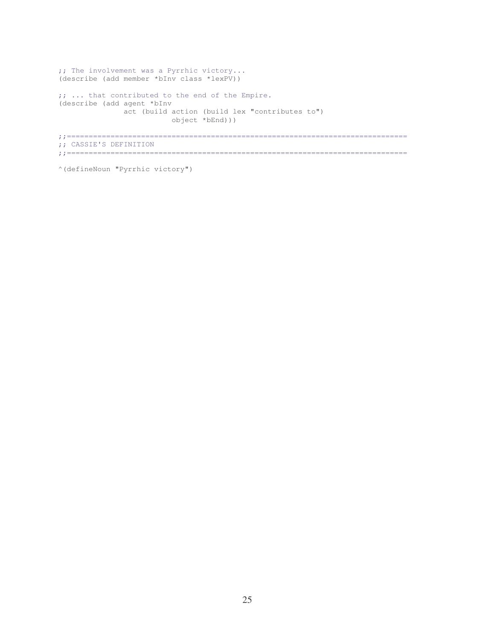```
;; The involvement was a Pyrrhic victory... 
(describe (add member *bInv class *lexPV)) 
;; ... that contributed to the end of the Empire. 
(describe (add agent *bInv 
              act (build action (build lex "contributes to") 
                          object *bEnd))) 
;;============================================================================== 
;; CASSIE'S DEFINITION 
;;==============================================================================
```

```
^(defineNoun "Pyrrhic victory")
```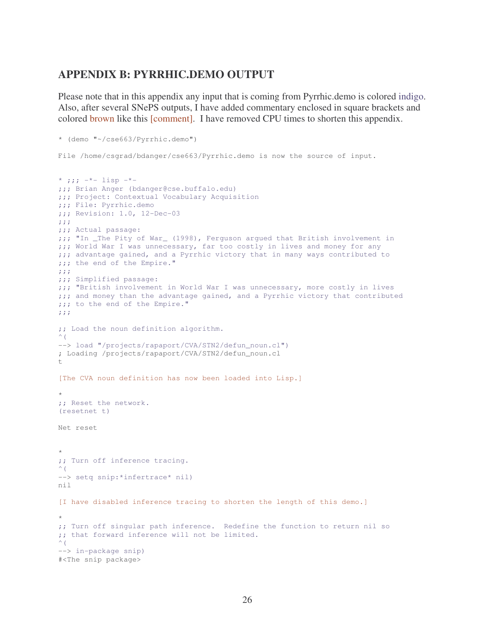# **APPENDIX B: PYRRHIC.DEMO OUTPUT**

Please note that in this appendix any input that is coming from Pyrrhic.demo is colored indigo. Also, after several SNePS outputs, I have added commentary enclosed in square brackets and colored brown like this [comment]. I have removed CPU times to shorten this appendix.

```
* (demo "~/cse663/Pyrrhic.demo") 
File /home/csgrad/bdanger/cse663/Pyrrhic.demo is now the source of input. 
* ;j; -*- lisp -*-;;; Brian Anger (bdanger@cse.buffalo.edu) 
;;; Project: Contextual Vocabulary Acquisition 
;;; File: Pyrrhic.demo 
;;; Revision: 1.0, 12-Dec-03 
;;; 
;;; Actual passage: 
;;; "In _The Pity of War_ (1998), Ferguson argued that British involvement in 
;;; World War I was unnecessary, far too costly in lives and money for any 
;;; advantage gained, and a Pyrrhic victory that in many ways contributed to 
;;; the end of the Empire." 
;;; 
;;; Simplified passage: 
;;; "British involvement in World War I was unnecessary, more costly in lives 
;;; and money than the advantage gained, and a Pyrrhic victory that contributed 
;;; to the end of the Empire." 
;;; 
;; Load the noun definition algorithm. 
\hat{\ } (
--> load "/projects/rapaport/CVA/STN2/defun_noun.cl")
; Loading /projects/rapaport/CVA/STN2/defun_noun.cl
+[The CVA noun definition has now been loaded into Lisp.] 
* 
;; Reset the network. 
(resetnet t) 
Net reset 
* 
;; Turn off inference tracing. 
\hat{\ } (
--> setq snip:*infertrace* nil)
nil 
[I have disabled inference tracing to shorten the length of this demo.] 
* 
;; Turn off singular path inference. Redefine the function to return nil so 
;; that forward inference will not be limited. 
\wedge (
--> in-package snip)
#<The snip package>
```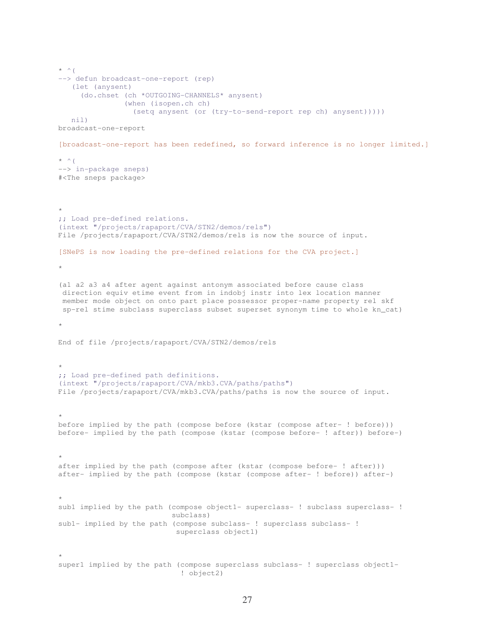```
* ^ (
--> defun broadcast-one-report (rep) 
    (let (anysent) 
      (do.chset (ch *OUTGOING-CHANNELS* anysent) 
                (when (isopen.ch ch) 
                  (setq anysent (or (try-to-send-report rep ch) anysent))))) 
    nil) 
broadcast-one-report 
[broadcast-one-report has been redefined, so forward inference is no longer limited.] 
* ^ (
--> in-package sneps)
#<The sneps package> 
\star;; Load pre-defined relations. 
(intext "/projects/rapaport/CVA/STN2/demos/rels") 
File /projects/rapaport/CVA/STN2/demos/rels is now the source of input. 
[SNePS is now loading the pre-defined relations for the CVA project.] 
* 
(a1 a2 a3 a4 after agent against antonym associated before cause class 
 direction equiv etime event from in indobj instr into lex location manner 
 member mode object on onto part place possessor proper-name property rel skf 
 sp-rel stime subclass superclass subset superset synonym time to whole kn_cat) 
* 
End of file /projects/rapaport/CVA/STN2/demos/rels 
* 
;; Load pre-defined path definitions. 
(intext "/projects/rapaport/CVA/mkb3.CVA/paths/paths") 
File /projects/rapaport/CVA/mkb3.CVA/paths/paths is now the source of input. 
\starbefore implied by the path (compose before (kstar (compose after- ! before))) 
before- implied by the path (compose (kstar (compose before- ! after)) before-) 
* 
after implied by the path (compose after (kstar (compose before- ! after))) 
after- implied by the path (compose (kstar (compose after- ! before)) after-) 
* 
sub1 implied by the path (compose object1- superclass- ! subclass superclass- !
                            subclass) 
sub1- implied by the path (compose subclass- ! superclass subclass- ! 
                             superclass object1) 
* 
super1 implied by the path (compose superclass subclass- ! superclass object1- 
                              ! object2)
```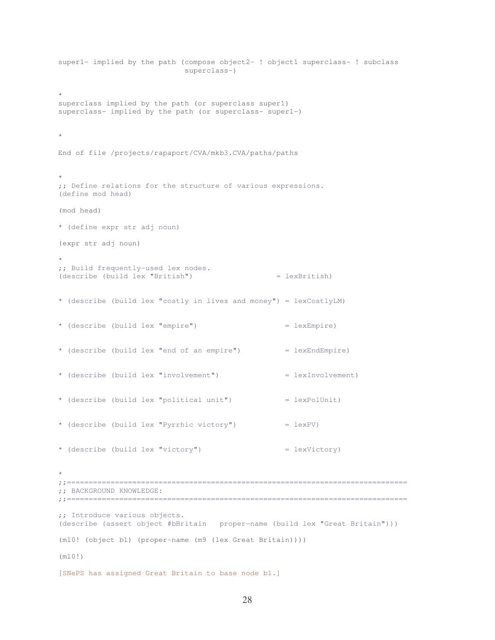```
super1- implied by the path (compose object2- ! object1 superclass- ! subclass 
                            superclass-) 
* 
superclass implied by the path (or superclass super1) 
superclass- implied by the path (or superclass- super1-) 
* 
End of file /projects/rapaport/CVA/mkb3.CVA/paths/paths 
* 
;; Define relations for the structure of various expressions. 
(define mod head) 
(mod head) 
* (define expr str adj noun)
(expr str adj noun) 
* 
;; Build frequently-used lex nodes. 
(describe (build lex "British") = lexBritish) 
* (describe (build lex "costly in lives and money") = lexCostlyLM)
* (describe (build lex "empire") = lexEmpire) 
* (describe (build lex "end of an empire") = lexEndEmpire)
* (describe (build lex "involvement") = lexInvolvement)
* (describe (build lex "political unit") = lexPolUnit) 
* (describe (build lex "Pyrrhic victory") = lexPV)
* (describe (build lex "victory") = lexVictory) 
* 
;;============================================================================== 
;; BACKGROUND KNOWLEDGE: 
;;============================================================================== 
;; Introduce various objects. 
(describe (assert object #bBritain proper-name (build lex "Great Britain"))) 
(m10! (object b1) (proper-name (m9 (lex Great Britain)))) 
(m10!) 
[SNePS has assigned Great Britain to base node b1.]
```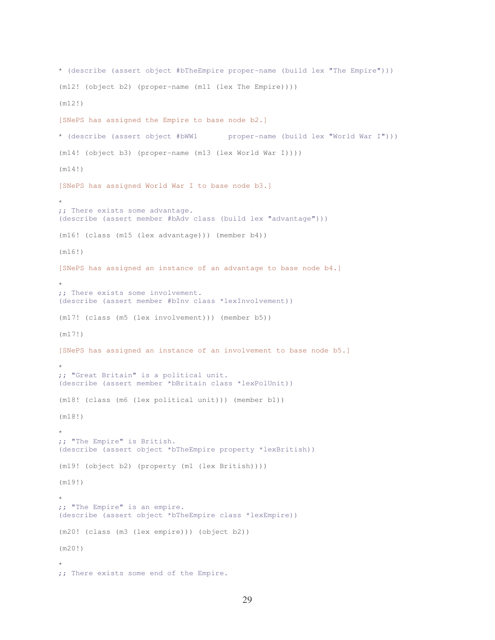```
* (describe (assert object #bTheEmpire proper-name (build lex "The Empire"))) 
(m12! (object b2) (proper-name (m11 (lex The Empire)))) 
(m12!) 
[SNePS has assigned the Empire to base node b2.] 
* (describe (assert object #bWW1 proper-name (build lex "World War I"))) 
(m14! (object b3) (proper-name (m13 (lex World War I)))) 
(m14!) 
[SNePS has assigned World War I to base node b3.] 
* 
;; There exists some advantage. 
(describe (assert member #bAdv class (build lex "advantage"))) 
(m16! (class (m15 (lex advantage))) (member b4)) 
(m16!) 
[SNePS has assigned an instance of an advantage to base node b4.] 
* 
;; There exists some involvement. 
(describe (assert member #bInv class *lexInvolvement)) 
(m17! (class (m5 (lex involvement))) (member b5)) 
(m17!) 
[SNePS has assigned an instance of an involvement to base node b5.] 
* 
;; "Great Britain" is a political unit. 
(describe (assert member *bBritain class *lexPolUnit)) 
(m18! (class (m6 (lex political unit))) (member b1)) 
(m18!) 
* 
;; "The Empire" is British. 
(describe (assert object *bTheEmpire property *lexBritish)) 
(m19! (object b2) (property (m1 (lex British)))) 
(m19!) 
* 
;; "The Empire" is an empire. 
(describe (assert object *bTheEmpire class *lexEmpire)) 
(m20! (class (m3 (lex empire))) (object b2)) 
(m20!) 
* 
;; There exists some end of the Empire.
```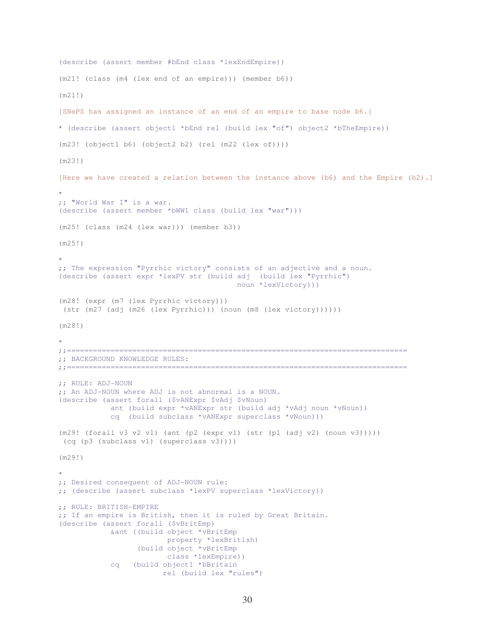```
(describe (assert member #bEnd class *lexEndEmpire)) 
(m21! (class (m4 (lex end of an empire))) (member b6)) 
(m21!) 
[SNePS has assigned an instance of an end of an empire to base node b6.] 
* (describe (assert object1 *bEnd rel (build lex "of") object2 *bTheEmpire)) 
(m23! (object1 b6) (object2 b2) (rel (m22 (lex of)))) 
(m23!) 
[Here we have created a relation between the instance above (b6) and the Empire (b2).] 
* 
;; "World War I" is a war. 
(describe (assert member *bWW1 class (build lex "war"))) 
(m25! (class (m24 (lex war))) (member b3)) 
(m25!) 
* 
;; The expression "Pyrrhic victory" consists of an adjective and a noun. 
(describe (assert expr *lexPV str (build adj (build lex "Pyrrhic") 
                                           noun *lexVictory))) 
(m28! (expr (m7 (lex Pyrrhic victory))) 
 (str (m27 (adj (m26 (lex Pyrrhic))) (noun (m8 (lex victory)))))) 
(m28!) 
* 
;;============================================================================== 
;; BACKGROUND KNOWLEDGE RULES: 
;;============================================================================== 
;; RULE: ADJ-NOUN 
;; An ADJ-NOUN where ADJ is not abnormal is a NOUN.
(describe (assert forall ($vANExpr $vAdj $vNoun) 
             ant (build expr *vANExpr str (build adj *vAdj noun *vNoun)) 
             cq (build subclass *vANExpr superclass *vNoun))) 
(m29! (forall v3 v2 v1) (ant (p2 (expr v1) (str (p1 (adj v2) (noun v3)))))
 (cq (p3 (subclass v1) (superclass v3)))) 
(m29!) 
* 
;; Desired consequent of ADJ-NOUN rule: 
;; (describe (assert subclass *lexPV superclass *lexVictory)) 
;; RULE: BRITISH-EMPIRE 
;; If an empire is British, then it is ruled by Great Britain. 
(describe (assert forall ($vBritEmp) 
             &ant ((build object *vBritEmp 
                          property *lexBritish) 
                   (build object *vBritEmp 
                          class *lexEmpire)) 
             cq (build object1 *bBritain 
                         rel (build lex "rules")
```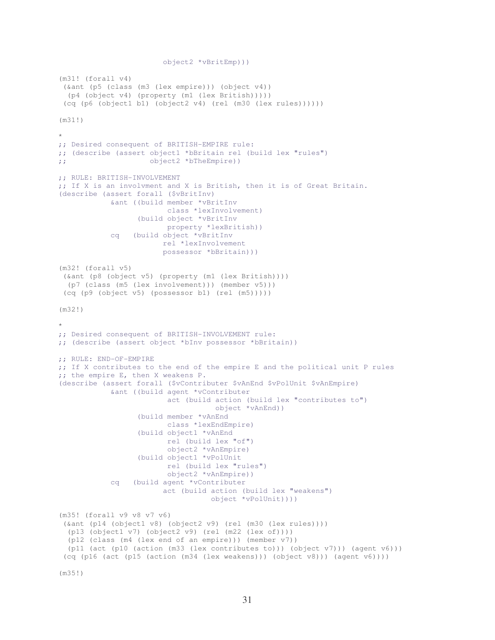```
 object2 *vBritEmp))) 
(m31! (forall v4) 
  (&ant (p5 (class (m3 (lex empire))) (object v4)) 
   (p4 (object v4) (property (m1 (lex British))))) 
  (cq (p6 (object1 b1) (object2 v4) (rel (m30 (lex rules)))))) 
(m31!) 
* 
;; Desired consequent of BRITISH-EMPIRE rule: 
;; (describe (assert object1 *bBritain rel (build lex "rules") 
;; object2 *bTheEmpire)) 
;; RULE: BRITISH-INVOLVEMENT 
;; If X is an involvment and X is British, then it is of Great Britain. 
(describe (assert forall ($vBritInv) 
             &ant ((build member *vBritInv 
                          class *lexInvolvement) 
                   (build object *vBritInv 
                          property *lexBritish)) 
             cq (build object *vBritInv 
                          rel *lexInvolvement 
                          possessor *bBritain))) 
(m32! (forall v5) 
  (&ant (p8 (object v5) (property (m1 (lex British)))) 
   (p7 (class (m5 (lex involvement))) (member v5))) 
  (cq (p9 (object v5) (possessor b1) (rel (m5))))) 
(m32!) 
* 
;; Desired consequent of BRITISH-INVOLVEMENT rule: 
;; (describe (assert object *bInv possessor *bBritain)) 
;; RULE: END-OF-EMPIRE 
;; If X contributes to the end of the empire E and the political unit P rules 
;; the empire E, then X weakens P. 
(describe (assert forall ($vContributer $vAnEnd $vPolUnit $vAnEmpire) 
             &ant ((build agent *vContributer 
                           act (build action (build lex "contributes to") 
                                      object *vAnEnd)) 
                    (build member *vAnEnd 
                          class *lexEndEmpire) 
                    (build object1 *vAnEnd 
                           rel (build lex "of") 
                           object2 *vAnEmpire) 
                    (build object1 *vPolUnit 
                           rel (build lex "rules") 
                           object2 *vAnEmpire)) 
             cq (build agent *vContributer 
                          act (build action (build lex "weakens") 
                                     object *vPolUnit)))) 
(m35! (forall v9 v8 v7 v6) 
  (&ant (p14 (object1 v8) (object2 v9) (rel (m30 (lex rules)))) 
   (p13 (object1 v7) (object2 v9) (rel (m22 (lex of)))) 
   (p12 (class (m4 (lex end of an empire))) (member v7)) 
  (p11 (act (p10 (action (m33 \text{ (lex contributes to)})) (object v7))) (agent v6)))
  (cq (p16 (act (p15 (action (m34 (lex weakens))) (object v8))) (agent v6))))
```
(m35!)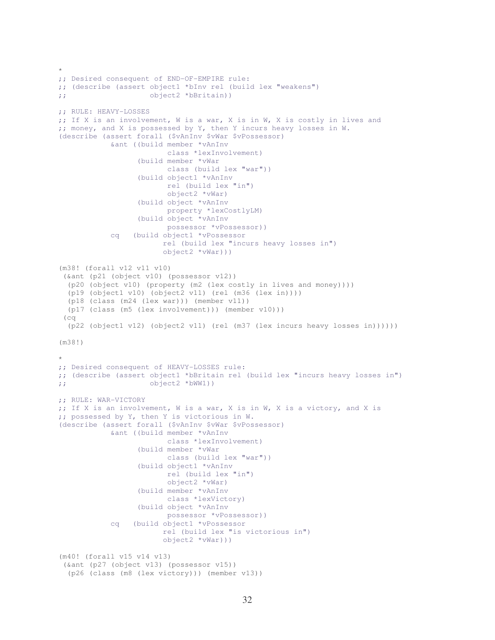```
* 
;; Desired consequent of END-OF-EMPIRE rule: 
;; (describe (assert object1 *bInv rel (build lex "weakens") 
;; object2 *bBritain)) 
;; RULE: HEAVY-LOSSES 
;; If X is an involvement, W is a war, X is in W, X is costly in lives and 
;; money, and X is possessed by Y, then Y incurs heavy losses in W.
(describe (assert forall ($vAnInv $vWar $vPossessor) 
             &ant ((build member *vAnInv 
                          class *lexInvolvement) 
                    (build member *vWar 
                          class (build lex "war")) 
                    (build object1 *vAnInv 
                          rel (build lex "in") 
                           object2 *vWar) 
                    (build object *vAnInv 
                          property *lexCostlyLM) 
                    (build object *vAnInv 
                          possessor *vPossessor)) 
             cq (build object1 *vPossessor 
                         rel (build lex "incurs heavy losses in") 
                         object2 *vWar))) 
(m38! (forall v12 v11 v10) 
  (&ant (p21 (object v10) (possessor v12)) 
   (p20 (object v10) (property (m2 (lex costly in lives and money)))) 
   (p19 (object1 v10) (object2 v11) (rel (m36 (lex in)))) 
   (p18 (class (m24 (lex war))) (member v11)) 
   (p17 (class (m5 (lex involvement))) (member v10))) 
  (cq 
   (p22 (object1 v12) (object2 v11) (rel (m37 (lex incurs heavy losses in)))))) 
(m38!) 
* 
;; Desired consequent of HEAVY-LOSSES rule: 
;; (describe (assert object1 *bBritain rel (build lex "incurs heavy losses in") 
;; object2 *bWW1)) 
;; RULE: WAR-VICTORY 
;; If X is an involvement, W is a war, X is in W, X is a victory, and X is 
;; possessed by Y, then Y is victorious in W. 
(describe (assert forall ($vAnInv $vWar $vPossessor) 
             &ant ((build member *vAnInv 
                          class *lexInvolvement) 
                    (build member *vWar 
                          class (build lex "war")) 
                    (build object1 *vAnInv 
                          rel (build lex "in") 
                           object2 *vWar) 
                    (build member *vAnInv 
                           class *lexVictory) 
                    (build object *vAnInv 
                           possessor *vPossessor)) 
             cq (build object1 *vPossessor 
                         rel (build lex "is victorious in") 
                         object2 *vWar))) 
(m40! (forall v15 v14 v13) 
  (&ant (p27 (object v13) (possessor v15)) 
   (p26 (class (m8 (lex victory))) (member v13))
```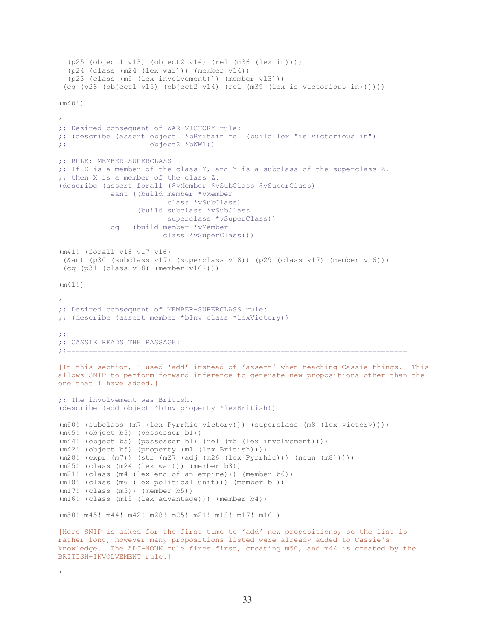```
 (p25 (object1 v13) (object2 v14) (rel (m36 (lex in)))) 
   (p24 (class (m24 (lex war))) (member v14)) 
   (p23 (class (m5 (lex involvement))) (member v13))) 
  (cq (p28 (object1 v15) (object2 v14) (rel (m39 (lex is victorious in)))))) 
(m40!) 
* 
;; Desired consequent of WAR-VICTORY rule: 
;; (describe (assert object1 *bBritain rel (build lex "is victorious in") 
;; object2 *bWW1)) 
;; RULE: MEMBER-SUPERCLASS 
;; If X is a member of the class Y, and Y is a subclass of the superclass Z, 
;; then X is a member of the class Z. 
(describe (assert forall ($vMember $vSubClass $vSuperClass) 
             &ant ((build member *vMember 
                          class *vSubClass) 
                   (build subclass *vSubClass 
                         superclass *vSuperClass)) 
             cq (build member *vMember 
                        class *vSuperClass))) 
(m41! (forall v18 v17 v16) 
  (&ant (p30 (subclass v17) (superclass v18)) (p29 (class v17) (member v16))) 
  (cq (p31 (class v18) (member v16)))) 
(m41!) 
\ddot{\phantom{0}};; Desired consequent of MEMBER-SUPERCLASS rule: 
;; (describe (assert member *bInv class *lexVictory)) 
;;============================================================================== 
;; CASSIE READS THE PASSAGE: 
;;============================================================================== 
[In this section, I used 'add' instead of 'assert' when teaching Cassie things. This 
allows SNIP to perform forward inference to generate new propositions other than the 
one that I have added.] 
;; The involvement was British. 
(describe (add object *bInv property *lexBritish)) 
(m50! (subclass (m7 (lex Pyrrhic victory))) (superclass (m8 (lex victory)))) 
(m45! (object b5) (possessor b1)) 
(m44! (object b5) (possessor b1) (rel (m5 (lex involvement)))) 
(m42! (object b5) (property (m1 (lex British)))) 
(m28! (expr (m7)) (str (m27 (adj (m26 (lex Pyrrhic))) (noun (m8))))) 
(m25! (class (m24 (lex war))) (member b3)) 
(m21! (class (m4 (lex end of an empire))) (member b6)) 
(m18! (class (m6 (lex political unit))) (member b1)) 
(m17! (class (m5)) (member b5)) 
(m16! (class (m15 (lex advantage))) (member b4)) 
(m50! m45! m44! m42! m28! m25! m21! m18! m17! m16!)
[Here SNIP is asked for the first time to 'add' new propositions, so the list is 
rather long, however many propositions listed were already added to Cassie's 
knowledge. The ADJ-NOUN rule fires first, creating m50, and m44 is created by the
```

```
33
```
BRITISH-INVOLVEMENT rule.]

\*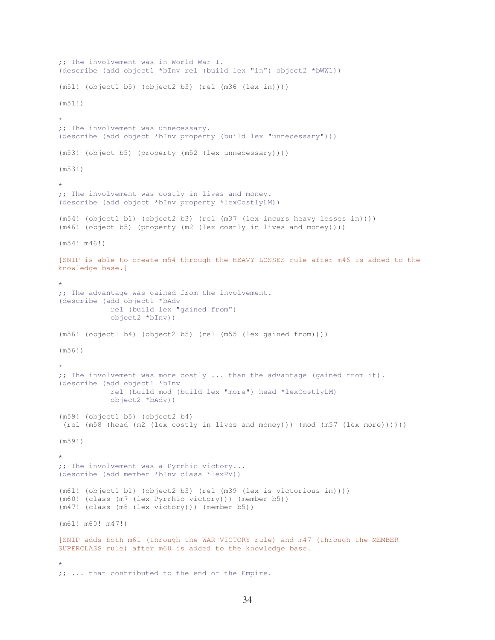```
;; The involvement was in World War I. 
(describe (add object1 *bInv rel (build lex "in") object2 *bWW1)) 
(m51! (object1 b5) (object2 b3) (rel (m36 (lex in)))) 
(m51!) 
* 
;; The involvement was unnecessary. 
(describe (add object *bInv property (build lex "unnecessary"))) 
(m53! (object b5) (property (m52 (lex unnecessary)))) 
(m53!) 
* 
;; The involvement was costly in lives and money. 
(describe (add object *bInv property *lexCostlyLM))
(m54! (object1 b1) (object2 b3) (rel (m37 (lex incurs heavy losses in)))) 
(m46! (object b5) (property (m2 (lex costly in lives and money)))) 
(m54! m46!) 
[SNIP is able to create m54 through the HEAVY-LOSSES rule after m46 is added to the 
knowledge base.] 
* 
;; The advantage was gained from the involvement.
(describe (add object1 *bAdv 
             rel (build lex "gained from") 
             object2 *bInv)) 
(m56! (object1 b4) (object2 b5) (rel (m55 (lex gained from)))) 
(m56!) 
* 
;; The involvement was more costly ... than the advantage (gained from it). 
(describe (add object1 *bInv 
             rel (build mod (build lex "more") head *lexCostlyLM) 
             object2 *bAdv)) 
(m59! (object1 b5) (object2 b4) 
 (rel (m58 (head (m2 (lex costly in lives and money))) (mod (m57 (lex more)))))) 
(m59!) 
* 
;; The involvement was a Pyrrhic victory... 
(describe (add member *bInv class *lexPV)) 
(m61! (object1 b1) (object2 b3) (rel (m39 (lex is victorious in)))) 
(m60! (class (m7 (lex Pyrrhic victory))) (member b5)) 
(m47! (class (m8 (lex victory))) (member b5)) 
(m61! m60! m47!) 
[SNIP adds both m61 (through the WAR-VICTORY rule) and m47 (through the MEMBER-
SUPERCLASS rule) after m60 is added to the knowledge base. 
* 
;; ... that contributed to the end of the Empire.
```